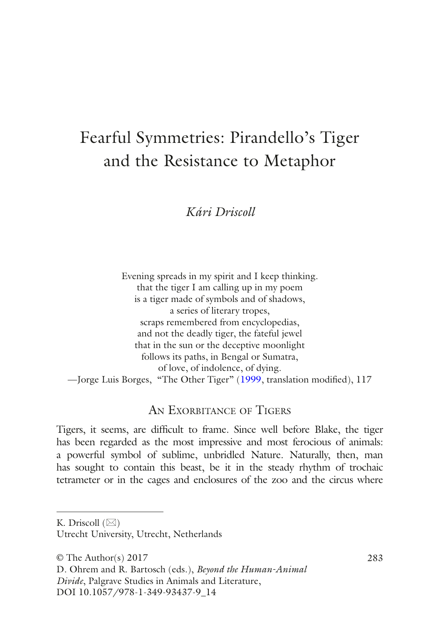# Fearful Symmetries: Pirandello's Tiger and the Resistance to Metaphor

## *Kári Driscoll*

Evening spreads in my spirit and I keep thinking. that the tiger I am calling up in my poem is a tiger made of symbols and of shadows, a series of literary tropes, scraps remembered from encyclopedias, and not the deadly tiger, the fateful jewel that in the sun or the deceptive moonlight follows its paths, in Bengal or Sumatra, of love, of indolence, of dying. —Jorge Luis Borges, "The Other Tiger" [\(1999](#page-21-0), translation modifed), 117

## AN EXORBITANCE OF TIGERS

Tigers, it seems, are diffcult to frame. Since well before Blake, the tiger has been regarded as the most impressive and most ferocious of animals: a powerful symbol of sublime, unbridled Nature. Naturally, then, man has sought to contain this beast, be it in the steady rhythm of trochaic tetrameter or in the cages and enclosures of the zoo and the circus where

K. Driscoll  $(\boxtimes)$ 

Utrecht University, Utrecht, Netherlands

<sup>©</sup> The Author(s) 2017

D. Ohrem and R. Bartosch (eds.), *Beyond the Human-Animal Divide*, Palgrave Studies in Animals and Literature, DOI 10.1057/978-1-349-93437-9\_14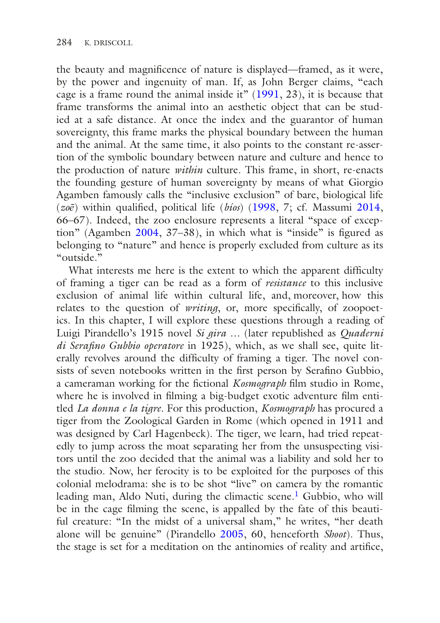the beauty and magnificence of nature is displayed—framed, as it were, by the power and ingenuity of man. If, as John Berger claims, "each cage is a frame round the animal inside it"  $(1991, 23)$  $(1991, 23)$ , it is because that frame transforms the animal into an aesthetic object that can be studied at a safe distance. At once the index and the guarantor of human sovereignty, this frame marks the physical boundary between the human and the animal. At the same time, it also points to the constant re-assertion of the symbolic boundary between nature and culture and hence to the production of nature *within* culture. This frame, in short, re-enacts the founding gesture of human sovereignty by means of what Giorgio Agamben famously calls the "inclusive exclusion" of bare, biological life (*zoē*) within qualifed, political life (*bíos*) ([1998](#page-21-2), 7; cf. Massumi [2014,](#page-22-0) 66–67). Indeed, the zoo enclosure represents a literal "space of excep-tion" (Agamben [2004,](#page-21-3) 37–38), in which what is "inside" is figured as belonging to "nature" and hence is properly excluded from culture as its "outside"

What interests me here is the extent to which the apparent difficulty of framing a tiger can be read as a form of *resistance* to this inclusive exclusion of animal life within cultural life, and, moreover, how this relates to the question of *writing*, or, more specifcally, of zoopoetics. In this chapter, I will explore these questions through a reading of Luigi Pirandello's 1915 novel *Si gira …* (later republished as *Quaderni di Serafino Gubbio operatore* in 1925), which, as we shall see, quite literally revolves around the diffculty of framing a tiger. The novel consists of seven notebooks written in the frst person by Serafno Gubbio, a cameraman working for the fctional *Kosmograph* flm studio in Rome, where he is involved in filming a big-budget exotic adventure film entitled *La donna e la tigre*. For this production, *Kosmograph* has procured a tiger from the Zoological Garden in Rome (which opened in 1911 and was designed by Carl Hagenbeck). The tiger, we learn, had tried repeatedly to jump across the moat separating her from the unsuspecting visitors until the zoo decided that the animal was a liability and sold her to the studio. Now, her ferocity is to be exploited for the purposes of this colonial melodrama: she is to be shot "live" on camera by the romantic leading man, Aldo Nuti, during the climactic scene.<sup>1</sup> Gubbio, who will be in the cage flming the scene, is appalled by the fate of this beautiful creature: "In the midst of a universal sham," he writes, "her death alone will be genuine" (Pirandello [2005,](#page-22-1) 60, henceforth *Shoot*). Thus, the stage is set for a meditation on the antinomies of reality and artifce,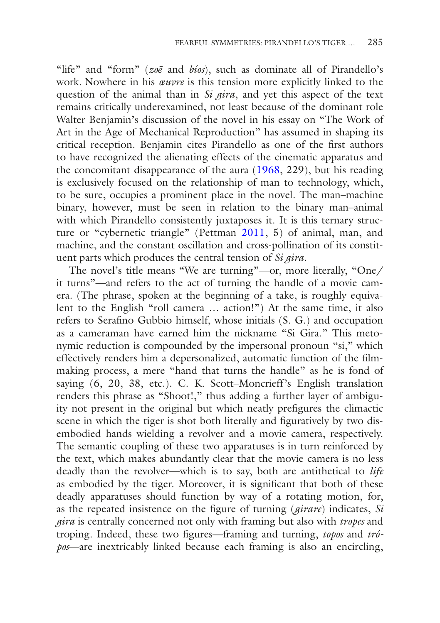"life" and "form" (*zoē* and *bíos*), such as dominate all of Pirandello's work. Nowhere in his *œuvre* is this tension more explicitly linked to the question of the animal than in *Si gira*, and yet this aspect of the text remains critically underexamined, not least because of the dominant role Walter Benjamin's discussion of the novel in his essay on "The Work of Art in the Age of Mechanical Reproduction" has assumed in shaping its critical reception. Benjamin cites Pirandello as one of the frst authors to have recognized the alienating effects of the cinematic apparatus and the concomitant disappearance of the aura ([1968](#page-21-4), 229), but his reading is exclusively focused on the relationship of man to technology, which, to be sure, occupies a prominent place in the novel. The man–machine binary, however, must be seen in relation to the binary man–animal with which Pirandello consistently juxtaposes it. It is this ternary structure or "cybernetic triangle" (Pettman [2011,](#page-22-2) 5) of animal, man, and machine, and the constant oscillation and cross-pollination of its constituent parts which produces the central tension of *Si gira*.

The novel's title means "We are turning"—or, more literally, "One/ it turns"—and refers to the act of turning the handle of a movie camera. (The phrase, spoken at the beginning of a take, is roughly equivalent to the English "roll camera … action!") At the same time, it also refers to Serafno Gubbio himself, whose initials (S. G.) and occupation as a cameraman have earned him the nickname "Si Gira." This metonymic reduction is compounded by the impersonal pronoun "si," which effectively renders him a depersonalized, automatic function of the flmmaking process, a mere "hand that turns the handle" as he is fond of saying (6, 20, 38, etc.). C. K. Scott–Moncrieff's English translation renders this phrase as "Shoot!," thus adding a further layer of ambiguity not present in the original but which neatly prefgures the climactic scene in which the tiger is shot both literally and fguratively by two disembodied hands wielding a revolver and a movie camera, respectively. The semantic coupling of these two apparatuses is in turn reinforced by the text, which makes abundantly clear that the movie camera is no less deadly than the revolver—which is to say, both are antithetical to *life* as embodied by the tiger. Moreover, it is signifcant that both of these deadly apparatuses should function by way of a rotating motion, for, as the repeated insistence on the fgure of turning (*girare*) indicates, *Si gira* is centrally concerned not only with framing but also with *tropes* and troping. Indeed, these two fgures—framing and turning, *topos* and *trópos*—are inextricably linked because each framing is also an encircling,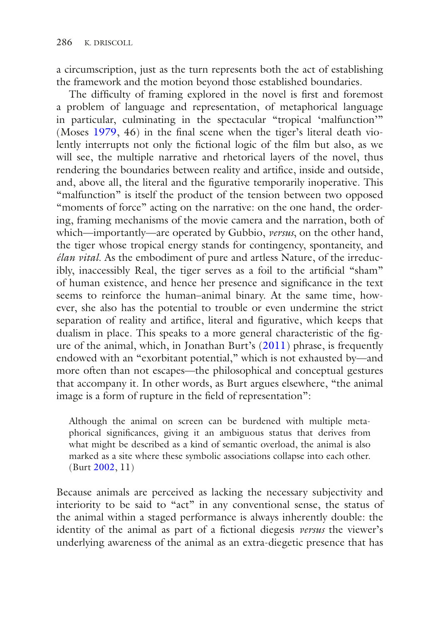a circumscription, just as the turn represents both the act of establishing the framework and the motion beyond those established boundaries.

The difficulty of framing explored in the novel is first and foremost a problem of language and representation, of metaphorical language in particular, culminating in the spectacular "tropical 'malfunction'" (Moses [1979](#page-22-3), 46) in the fnal scene when the tiger's literal death violently interrupts not only the fctional logic of the flm but also, as we will see, the multiple narrative and rhetorical layers of the novel, thus rendering the boundaries between reality and artifce, inside and outside, and, above all, the literal and the fgurative temporarily inoperative. This "malfunction" is itself the product of the tension between two opposed "moments of force" acting on the narrative: on the one hand, the ordering, framing mechanisms of the movie camera and the narration, both of which—importantly—are operated by Gubbio, *versus*, on the other hand, the tiger whose tropical energy stands for contingency, spontaneity, and *élan vital*. As the embodiment of pure and artless Nature, of the irreducibly, inaccessibly Real, the tiger serves as a foil to the artifcial "sham" of human existence, and hence her presence and signifcance in the text seems to reinforce the human–animal binary. At the same time, however, she also has the potential to trouble or even undermine the strict separation of reality and artifice, literal and figurative, which keeps that dualism in place. This speaks to a more general characteristic of the fgure of the animal, which, in Jonathan Burt's ([2011](#page-21-5)) phrase, is frequently endowed with an "exorbitant potential," which is not exhausted by—and more often than not escapes—the philosophical and conceptual gestures that accompany it. In other words, as Burt argues elsewhere, "the animal image is a form of rupture in the feld of representation":

Although the animal on screen can be burdened with multiple metaphorical signifcances, giving it an ambiguous status that derives from what might be described as a kind of semantic overload, the animal is also marked as a site where these symbolic associations collapse into each other. (Burt [2002,](#page-21-6) 11)

Because animals are perceived as lacking the necessary subjectivity and interiority to be said to "act" in any conventional sense, the status of the animal within a staged performance is always inherently double: the identity of the animal as part of a fctional diegesis *versus* the viewer's underlying awareness of the animal as an extra-diegetic presence that has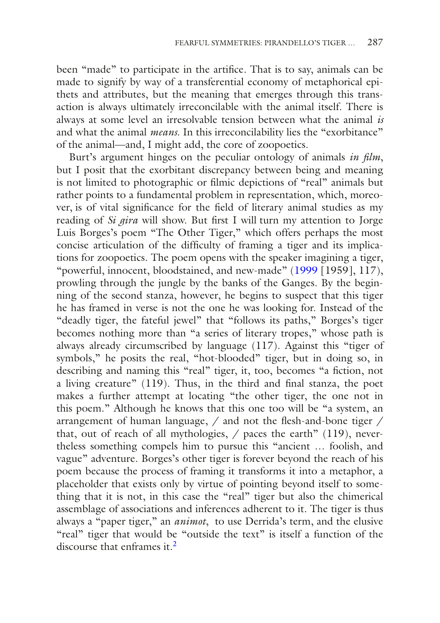been "made" to participate in the artifce. That is to say, animals can be made to signify by way of a transferential economy of metaphorical epithets and attributes, but the meaning that emerges through this transaction is always ultimately irreconcilable with the animal itself. There is always at some level an irresolvable tension between what the animal *is* and what the animal *means*. In this irreconcilability lies the "exorbitance" of the animal—and, I might add, the core of zoopoetics.

Burt's argument hinges on the peculiar ontology of animals *in flm*, but I posit that the exorbitant discrepancy between being and meaning is not limited to photographic or flmic depictions of "real" animals but rather points to a fundamental problem in representation, which, moreover, is of vital signifcance for the feld of literary animal studies as my reading of *Si gira* will show. But frst I will turn my attention to Jorge Luis Borges's poem "The Other Tiger," which offers perhaps the most concise articulation of the diffculty of framing a tiger and its implications for zoopoetics. The poem opens with the speaker imagining a tiger, "powerful, innocent, bloodstained, and new-made" ([1999](#page-21-0) [1959], 117), prowling through the jungle by the banks of the Ganges. By the beginning of the second stanza, however, he begins to suspect that this tiger he has framed in verse is not the one he was looking for. Instead of the "deadly tiger, the fateful jewel" that "follows its paths," Borges's tiger becomes nothing more than "a series of literary tropes," whose path is always already circumscribed by language (117). Against this "tiger of symbols," he posits the real, "hot-blooded" tiger, but in doing so, in describing and naming this "real" tiger, it, too, becomes "a fction, not a living creature" (119). Thus, in the third and fnal stanza, the poet makes a further attempt at locating "the other tiger, the one not in this poem." Although he knows that this one too will be "a system, an arrangement of human language, / and not the fesh-and-bone tiger / that, out of reach of all mythologies, / paces the earth" (119), nevertheless something compels him to pursue this "ancient … foolish, and vague" adventure. Borges's other tiger is forever beyond the reach of his poem because the process of framing it transforms it into a metaphor, a placeholder that exists only by virtue of pointing beyond itself to something that it is not, in this case the "real" tiger but also the chimerical assemblage of associations and inferences adherent to it. The tiger is thus always a "paper tiger," an *animot*, to use Derrida's term, and the elusive "real" tiger that would be "outside the text" is itself a function of the discourse that enframes it. $2$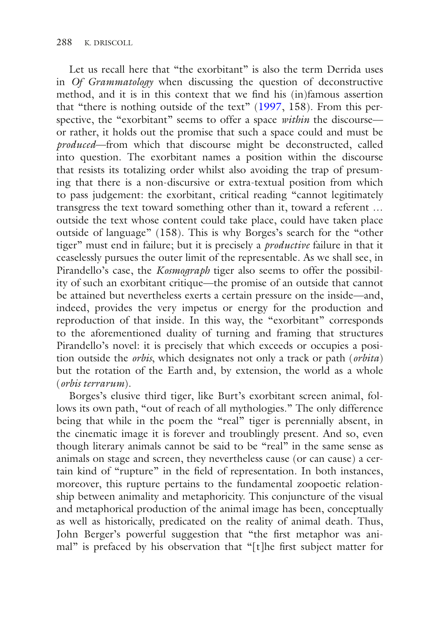Let us recall here that "the exorbitant" is also the term Derrida uses in *Of Grammatology* when discussing the question of deconstructive method, and it is in this context that we fnd his (in)famous assertion that "there is nothing outside of the text" [\(1997,](#page-21-7) 158). From this perspective, the "exorbitant" seems to offer a space *within* the discourse or rather, it holds out the promise that such a space could and must be *produced*—from which that discourse might be deconstructed, called into question. The exorbitant names a position within the discourse that resists its totalizing order whilst also avoiding the trap of presuming that there is a non-discursive or extra-textual position from which to pass judgement: the exorbitant, critical reading "cannot legitimately transgress the text toward something other than it, toward a referent … outside the text whose content could take place, could have taken place outside of language" (158). This is why Borges's search for the "other tiger" must end in failure; but it is precisely a *productive* failure in that it ceaselessly pursues the outer limit of the representable. As we shall see, in Pirandello's case, the *Kosmograph* tiger also seems to offer the possibility of such an exorbitant critique—the promise of an outside that cannot be attained but nevertheless exerts a certain pressure on the inside—and, indeed, provides the very impetus or energy for the production and reproduction of that inside. In this way, the "exorbitant" corresponds to the aforementioned duality of turning and framing that structures Pirandello's novel: it is precisely that which exceeds or occupies a position outside the *orbis*, which designates not only a track or path (*orbita*) but the rotation of the Earth and, by extension, the world as a whole (*orbis terrarum*).

Borges's elusive third tiger, like Burt's exorbitant screen animal, follows its own path, "out of reach of all mythologies." The only difference being that while in the poem the "real" tiger is perennially absent, in the cinematic image it is forever and troublingly present. And so, even though literary animals cannot be said to be "real" in the same sense as animals on stage and screen, they nevertheless cause (or can cause) a certain kind of "rupture" in the feld of representation. In both instances, moreover, this rupture pertains to the fundamental zoopoetic relationship between animality and metaphoricity. This conjuncture of the visual and metaphorical production of the animal image has been, conceptually as well as historically, predicated on the reality of animal death. Thus, John Berger's powerful suggestion that "the frst metaphor was animal" is prefaced by his observation that "[t]he frst subject matter for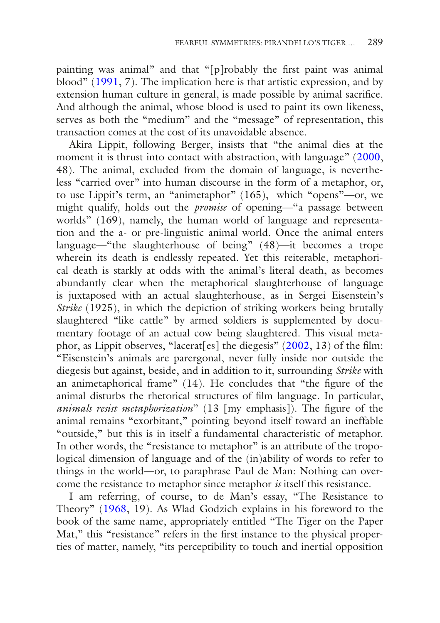painting was animal" and that "[p]robably the frst paint was animal blood" ([1991](#page-21-1), 7). The implication here is that artistic expression, and by extension human culture in general, is made possible by animal sacrifce. And although the animal, whose blood is used to paint its own likeness, serves as both the "medium" and the "message" of representation, this transaction comes at the cost of its unavoidable absence.

Akira Lippit, following Berger, insists that "the animal dies at the moment it is thrust into contact with abstraction, with language" ([2000,](#page-22-4) 48). The animal, excluded from the domain of language, is nevertheless "carried over" into human discourse in the form of a metaphor, or, to use Lippit's term, an "animetaphor" (165), which "opens"—or, we might qualify, holds out the *promise* of opening—"a passage between worlds" (169), namely, the human world of language and representation and the a- or pre-linguistic animal world. Once the animal enters language—"the slaughterhouse of being" (48)—it becomes a trope wherein its death is endlessly repeated. Yet this reiterable, metaphorical death is starkly at odds with the animal's literal death, as becomes abundantly clear when the metaphorical slaughterhouse of language is juxtaposed with an actual slaughterhouse, as in Sergei Eisenstein's *Strike* (1925), in which the depiction of striking workers being brutally slaughtered "like cattle" by armed soldiers is supplemented by documentary footage of an actual cow being slaughtered. This visual metaphor, as Lippit observes, "lacerat[es] the diegesis" ([2002](#page-22-5), 13) of the flm: "Eisenstein's animals are parergonal, never fully inside nor outside the diegesis but against, beside, and in addition to it, surrounding *Strike* with an animetaphorical frame" (14). He concludes that "the fgure of the animal disturbs the rhetorical structures of flm language. In particular, *animals resist metaphorization*" (13 [my emphasis]). The fgure of the animal remains "exorbitant," pointing beyond itself toward an ineffable "outside," but this is in itself a fundamental characteristic of metaphor. In other words, the "resistance to metaphor" is an attribute of the tropological dimension of language and of the (in)ability of words to refer to things in the world—or, to paraphrase Paul de Man: Nothing can overcome the resistance to metaphor since metaphor *is* itself this resistance.

I am referring, of course, to de Man's essay, "The Resistance to Theory" [\(1968,](#page-21-4) 19). As Wlad Godzich explains in his foreword to the book of the same name, appropriately entitled "The Tiger on the Paper Mat," this "resistance" refers in the first instance to the physical properties of matter, namely, "its perceptibility to touch and inertial opposition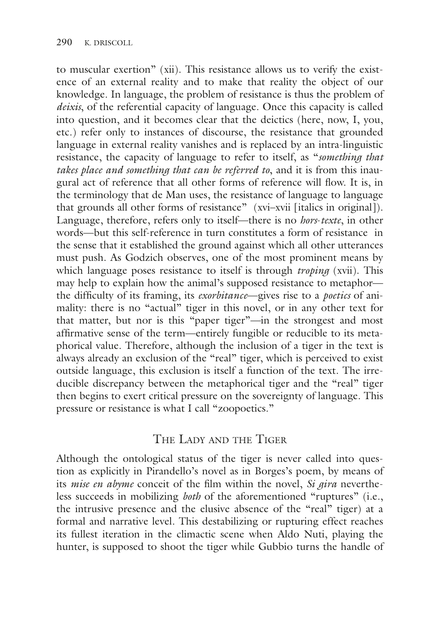to muscular exertion" (xii). This resistance allows us to verify the existence of an external reality and to make that reality the object of our knowledge. In language, the problem of resistance is thus the problem of *deixis*, of the referential capacity of language. Once this capacity is called into question, and it becomes clear that the deictics (here, now, I, you, etc.) refer only to instances of discourse, the resistance that grounded language in external reality vanishes and is replaced by an intra-linguistic resistance, the capacity of language to refer to itself, as "*something that takes place and something that can be referred to*' and it is from this inaugural act of reference that all other forms of reference will flow. It is, in the terminology that de Man uses, the resistance of language to language that grounds all other forms of resistance" (xvi–xvii [italics in original]). Language, therefore, refers only to itself—there is no *hors*-*texte*, in other words—but this self-reference in turn constitutes a form of resistance in the sense that it established the ground against which all other utterances must push. As Godzich observes, one of the most prominent means by which language poses resistance to itself is through *troping* (xvii). This may help to explain how the animal's supposed resistance to metaphor the diffculty of its framing, its *exorbitance*—gives rise to a *poetics* of animality: there is no "actual" tiger in this novel, or in any other text for that matter, but nor is this "paper tiger"—in the strongest and most affrmative sense of the term—entirely fungible or reducible to its metaphorical value. Therefore, although the inclusion of a tiger in the text is always already an exclusion of the "real" tiger, which is perceived to exist outside language, this exclusion is itself a function of the text. The irreducible discrepancy between the metaphorical tiger and the "real" tiger then begins to exert critical pressure on the sovereignty of language. This pressure or resistance is what I call "zoopoetics."

## The Lady and the Tiger

Although the ontological status of the tiger is never called into question as explicitly in Pirandello's novel as in Borges's poem, by means of its *mise en abyme* conceit of the flm within the novel, *Si gira* nevertheless succeeds in mobilizing *both* of the aforementioned "ruptures" (i.e., the intrusive presence and the elusive absence of the "real" tiger) at a formal and narrative level. This destabilizing or rupturing effect reaches its fullest iteration in the climactic scene when Aldo Nuti, playing the hunter, is supposed to shoot the tiger while Gubbio turns the handle of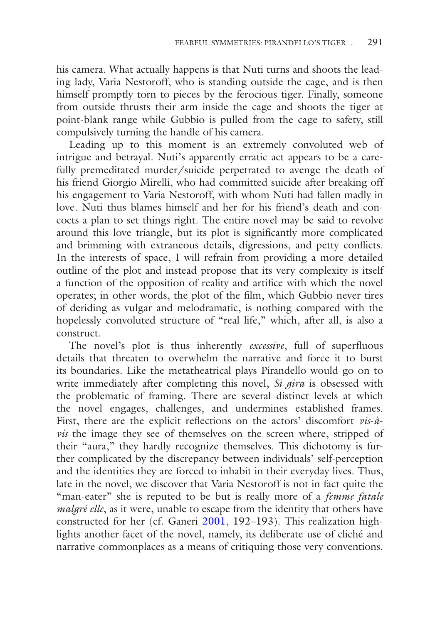his camera. What actually happens is that Nuti turns and shoots the leading lady, Varia Nestoroff, who is standing outside the cage, and is then himself promptly torn to pieces by the ferocious tiger. Finally, someone from outside thrusts their arm inside the cage and shoots the tiger at point-blank range while Gubbio is pulled from the cage to safety, still compulsively turning the handle of his camera.

Leading up to this moment is an extremely convoluted web of intrigue and betrayal. Nuti's apparently erratic act appears to be a carefully premeditated murder/suicide perpetrated to avenge the death of his friend Giorgio Mirelli, who had committed suicide after breaking off his engagement to Varia Nestoroff, with whom Nuti had fallen madly in love. Nuti thus blames himself and her for his friend's death and concocts a plan to set things right. The entire novel may be said to revolve around this love triangle, but its plot is signifcantly more complicated and brimming with extraneous details, digressions, and petty conficts. In the interests of space, I will refrain from providing a more detailed outline of the plot and instead propose that its very complexity is itself a function of the opposition of reality and artifce with which the novel operates; in other words, the plot of the flm, which Gubbio never tires of deriding as vulgar and melodramatic, is nothing compared with the hopelessly convoluted structure of "real life," which, after all, is also a construct.

The novel's plot is thus inherently *excessive*, full of superfuous details that threaten to overwhelm the narrative and force it to burst its boundaries. Like the metatheatrical plays Pirandello would go on to write immediately after completing this novel, *Si gira* is obsessed with the problematic of framing. There are several distinct levels at which the novel engages, challenges, and undermines established frames. First, there are the explicit refections on the actors' discomfort *vis*-*àvis* the image they see of themselves on the screen where, stripped of their "aura," they hardly recognize themselves. This dichotomy is further complicated by the discrepancy between individuals' self-perception and the identities they are forced to inhabit in their everyday lives. Thus, late in the novel, we discover that Varia Nestoroff is not in fact quite the "man-eater" she is reputed to be but is really more of a *femme fatale malgré elle*, as it were, unable to escape from the identity that others have constructed for her (cf. Ganeri [2001,](#page-22-6) 192–193). This realization highlights another facet of the novel, namely, its deliberate use of cliché and narrative commonplaces as a means of critiquing those very conventions.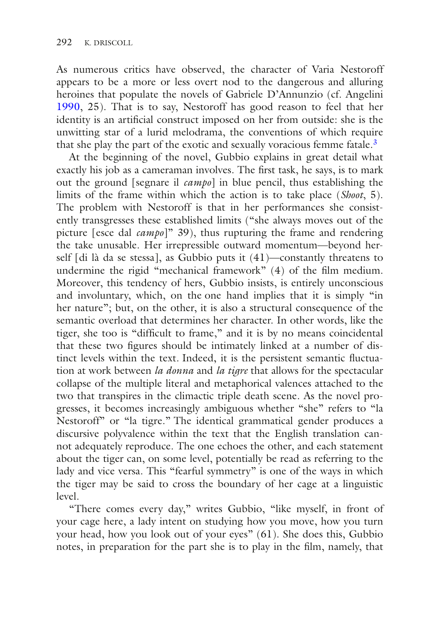As numerous critics have observed, the character of Varia Nestoroff appears to be a more or less overt nod to the dangerous and alluring heroines that populate the novels of Gabriele D'Annunzio (cf. Angelini [1990](#page-21-8), 25). That is to say, Nestoroff has good reason to feel that her identity is an artifcial construct imposed on her from outside: she is the unwitting star of a lurid melodrama, the conventions of which require that she play the part of the exotic and sexually voracious femme fatale.<sup>[3](#page-20-0)</sup>

At the beginning of the novel, Gubbio explains in great detail what exactly his job as a cameraman involves. The frst task, he says, is to mark out the ground [segnare il *campo*] in blue pencil, thus establishing the limits of the frame within which the action is to take place (*Shoot*, 5). The problem with Nestoroff is that in her performances she consistently transgresses these established limits ("she always moves out of the picture [esce dal *campo*]" 39), thus rupturing the frame and rendering the take unusable. Her irrepressible outward momentum—beyond herself [di là da se stessa], as Gubbio puts it (41)—constantly threatens to undermine the rigid "mechanical framework" (4) of the flm medium. Moreover, this tendency of hers, Gubbio insists, is entirely unconscious and involuntary, which, on the one hand implies that it is simply "in her nature"; but, on the other, it is also a structural consequence of the semantic overload that determines her character. In other words, like the tiger, she too is "diffcult to frame," and it is by no means coincidental that these two fgures should be intimately linked at a number of distinct levels within the text. Indeed, it is the persistent semantic fluctuation at work between *la donna* and *la tigre* that allows for the spectacular collapse of the multiple literal and metaphorical valences attached to the two that transpires in the climactic triple death scene. As the novel progresses, it becomes increasingly ambiguous whether "she" refers to "la Nestoroff" or "la tigre." The identical grammatical gender produces a discursive polyvalence within the text that the English translation cannot adequately reproduce. The one echoes the other, and each statement about the tiger can, on some level, potentially be read as referring to the lady and vice versa. This "fearful symmetry" is one of the ways in which the tiger may be said to cross the boundary of her cage at a linguistic level.

"There comes every day," writes Gubbio, "like myself, in front of your cage here, a lady intent on studying how you move, how you turn your head, how you look out of your eyes" (61). She does this, Gubbio notes, in preparation for the part she is to play in the flm, namely, that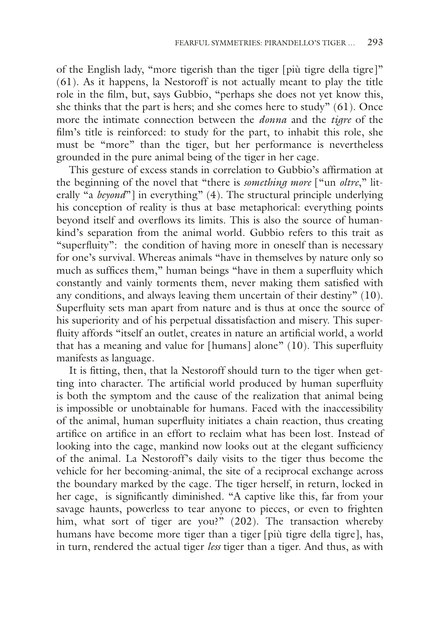of the English lady, "more tigerish than the tiger [più tigre della tigre]" (61). As it happens, la Nestoroff is not actually meant to play the title role in the flm, but, says Gubbio, "perhaps she does not yet know this, she thinks that the part is hers; and she comes here to study" (61). Once more the intimate connection between the *donna* and the *tigre* of the flm's title is reinforced: to study for the part, to inhabit this role, she must be "more" than the tiger, but her performance is nevertheless grounded in the pure animal being of the tiger in her cage.

This gesture of excess stands in correlation to Gubbio's affrmation at the beginning of the novel that "there is *something more* ["un *oltre*," literally "a *beyond*"] in everything" (4). The structural principle underlying his conception of reality is thus at base metaphorical: everything points beyond itself and overflows its limits. This is also the source of humankind's separation from the animal world. Gubbio refers to this trait as "superfuity": the condition of having more in oneself than is necessary for one's survival. Whereas animals "have in themselves by nature only so much as suffices them," human beings "have in them a superfluity which constantly and vainly torments them, never making them satisfed with any conditions, and always leaving them uncertain of their destiny" (10). Superfuity sets man apart from nature and is thus at once the source of his superiority and of his perpetual dissatisfaction and misery. This superfuity affords "itself an outlet, creates in nature an artifcial world, a world that has a meaning and value for [humans] alone" (10). This superfuity manifests as language.

It is ftting, then, that la Nestoroff should turn to the tiger when getting into character. The artifcial world produced by human superfuity is both the symptom and the cause of the realization that animal being is impossible or unobtainable for humans. Faced with the inaccessibility of the animal, human superfuity initiates a chain reaction, thus creating artifce on artifce in an effort to reclaim what has been lost. Instead of looking into the cage, mankind now looks out at the elegant sufficiency of the animal. La Nestoroff's daily visits to the tiger thus become the vehicle for her becoming-animal, the site of a reciprocal exchange across the boundary marked by the cage. The tiger herself, in return, locked in her cage, is signifcantly diminished. "A captive like this, far from your savage haunts, powerless to tear anyone to pieces, or even to frighten him, what sort of tiger are you?" (202). The transaction whereby humans have become more tiger than a tiger [più tigre della tigre], has, in turn, rendered the actual tiger *less* tiger than a tiger. And thus, as with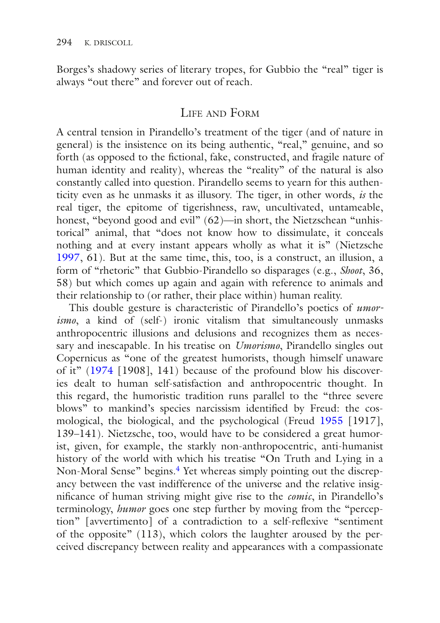Borges's shadowy series of literary tropes, for Gubbio the "real" tiger is always "out there" and forever out of reach.

## Life and Form

A central tension in Pirandello's treatment of the tiger (and of nature in general) is the insistence on its being authentic, "real," genuine, and so forth (as opposed to the fctional, fake, constructed, and fragile nature of human identity and reality), whereas the "reality" of the natural is also constantly called into question. Pirandello seems to yearn for this authenticity even as he unmasks it as illusory. The tiger, in other words, *is* the real tiger, the epitome of tigerishness, raw, uncultivated, untameable, honest, "beyond good and evil" (62)—in short, the Nietzschean "unhistorical" animal, that "does not know how to dissimulate, it conceals nothing and at every instant appears wholly as what it is" (Nietzsche [1997](#page-22-7), 61). But at the same time, this, too, is a construct, an illusion, a form of "rhetoric" that Gubbio-Pirandello so disparages (e.g., *Shoot*, 36, 58) but which comes up again and again with reference to animals and their relationship to (or rather, their place within) human reality.

This double gesture is characteristic of Pirandello's poetics of *umorismo*, a kind of (self-) ironic vitalism that simultaneously unmasks anthropocentric illusions and delusions and recognizes them as necessary and inescapable. In his treatise on *Umorismo*, Pirandello singles out Copernicus as "one of the greatest humorists, though himself unaware of it" ([1974](#page-22-8) [1908], 141) because of the profound blow his discoveries dealt to human self-satisfaction and anthropocentric thought. In this regard, the humoristic tradition runs parallel to the "three severe blows" to mankind's species narcissism identifed by Freud: the cosmological, the biological, and the psychological (Freud [1955](#page-22-9) [1917], 139–141). Nietzsche, too, would have to be considered a great humorist, given, for example, the starkly non-anthropocentric, anti-humanist history of the world with which his treatise "On Truth and Lying in a Non-Moral Sense" begins.[4](#page-20-0) Yet whereas simply pointing out the discrepancy between the vast indifference of the universe and the relative insignifcance of human striving might give rise to the *comic*, in Pirandello's terminology, *humor* goes one step further by moving from the "perception" [avvertimento] of a contradiction to a self-refexive "sentiment of the opposite" (113), which colors the laughter aroused by the perceived discrepancy between reality and appearances with a compassionate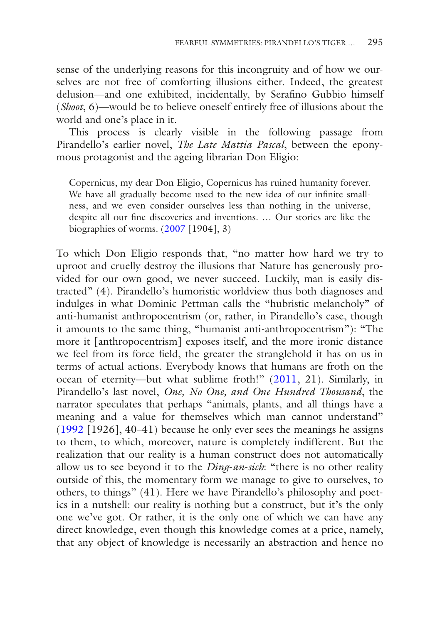sense of the underlying reasons for this incongruity and of how we ourselves are not free of comforting illusions either. Indeed, the greatest delusion—and one exhibited, incidentally, by Serafno Gubbio himself (*Shoot*, 6)—would be to believe oneself entirely free of illusions about the world and one's place in it.

This process is clearly visible in the following passage from Pirandello's earlier novel, *The Late Mattia Pascal*, between the eponymous protagonist and the ageing librarian Don Eligio:

Copernicus, my dear Don Eligio, Copernicus has ruined humanity forever. We have all gradually become used to the new idea of our infnite smallness, and we even consider ourselves less than nothing in the universe, despite all our fne discoveries and inventions. … Our stories are like the biographies of worms. ([2007](#page-22-10) [1904], 3)

To which Don Eligio responds that, "no matter how hard we try to uproot and cruelly destroy the illusions that Nature has generously provided for our own good, we never succeed. Luckily, man is easily distracted" (4). Pirandello's humoristic worldview thus both diagnoses and indulges in what Dominic Pettman calls the "hubristic melancholy" of anti-humanist anthropocentrism (or, rather, in Pirandello's case, though it amounts to the same thing, "humanist anti-anthropocentrism"): "The more it [anthropocentrism] exposes itself, and the more ironic distance we feel from its force feld, the greater the stranglehold it has on us in terms of actual actions. Everybody knows that humans are froth on the ocean of eternity—but what sublime froth!" [\(2011](#page-21-5), 21). Similarly, in Pirandello's last novel, *One, No One, and One Hundred Thousand*, the narrator speculates that perhaps "animals, plants, and all things have a meaning and a value for themselves which man cannot understand" ([1992](#page-22-11) [1926], 40–41) because he only ever sees the meanings he assigns to them, to which, moreover, nature is completely indifferent. But the realization that our reality is a human construct does not automatically allow us to see beyond it to the *Ding*-*an*-*sich*: "there is no other reality outside of this, the momentary form we manage to give to ourselves, to others, to things" (41). Here we have Pirandello's philosophy and poetics in a nutshell: our reality is nothing but a construct, but it's the only one we've got. Or rather, it is the only one of which we can have any direct knowledge, even though this knowledge comes at a price, namely, that any object of knowledge is necessarily an abstraction and hence no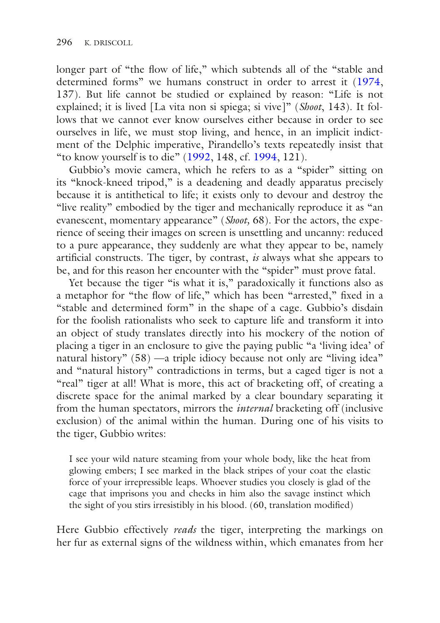longer part of "the flow of life," which subtends all of the "stable and determined forms" we humans construct in order to arrest it [\(1974,](#page-22-8) 137). But life cannot be studied or explained by reason: "Life is not explained; it is lived [La vita non si spiega; si vive]" (*Shoot*, 143). It follows that we cannot ever know ourselves either because in order to see ourselves in life, we must stop living, and hence, in an implicit indictment of the Delphic imperative, Pirandello's texts repeatedly insist that "to know yourself is to die" [\(1992,](#page-22-11) 148, cf. [1994](#page-22-12), 121).

Gubbio's movie camera, which he refers to as a "spider" sitting on its "knock-kneed tripod," is a deadening and deadly apparatus precisely because it is antithetical to life; it exists only to devour and destroy the "live reality" embodied by the tiger and mechanically reproduce it as "an evanescent, momentary appearance" (*Shoot,* 68). For the actors, the experience of seeing their images on screen is unsettling and uncanny: reduced to a pure appearance, they suddenly are what they appear to be, namely artifcial constructs. The tiger, by contrast, *is* always what she appears to be, and for this reason her encounter with the "spider" must prove fatal.

Yet because the tiger "is what it is," paradoxically it functions also as a metaphor for "the fow of life," which has been "arrested," fxed in a "stable and determined form" in the shape of a cage. Gubbio's disdain for the foolish rationalists who seek to capture life and transform it into an object of study translates directly into his mockery of the notion of placing a tiger in an enclosure to give the paying public "a 'living idea' of natural history" (58) —a triple idiocy because not only are "living idea" and "natural history" contradictions in terms, but a caged tiger is not a "real" tiger at all! What is more, this act of bracketing off, of creating a discrete space for the animal marked by a clear boundary separating it from the human spectators, mirrors the *internal* bracketing off (inclusive exclusion) of the animal within the human. During one of his visits to the tiger, Gubbio writes:

I see your wild nature steaming from your whole body, like the heat from glowing embers; I see marked in the black stripes of your coat the elastic force of your irrepressible leaps. Whoever studies you closely is glad of the cage that imprisons you and checks in him also the savage instinct which the sight of you stirs irresistibly in his blood. (60, translation modifed)

Here Gubbio effectively *reads* the tiger, interpreting the markings on her fur as external signs of the wildness within, which emanates from her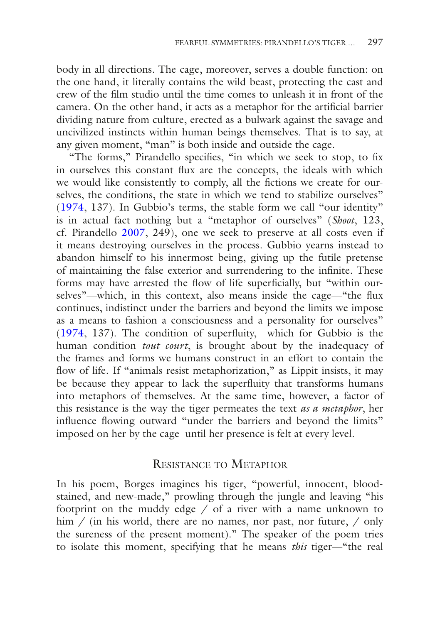body in all directions. The cage, moreover, serves a double function: on the one hand, it literally contains the wild beast, protecting the cast and crew of the flm studio until the time comes to unleash it in front of the camera. On the other hand, it acts as a metaphor for the artifcial barrier dividing nature from culture, erected as a bulwark against the savage and uncivilized instincts within human beings themselves. That is to say, at any given moment, "man" is both inside and outside the cage.

"The forms," Pirandello specifes, "in which we seek to stop, to fx in ourselves this constant fux are the concepts, the ideals with which we would like consistently to comply, all the fctions we create for ourselves, the conditions, the state in which we tend to stabilize ourselves" ([1974](#page-22-8), 137). In Gubbio's terms, the stable form we call "our identity" is in actual fact nothing but a "metaphor of ourselves" (*Shoot*, 123, cf. Pirandello [2007](#page-22-10), 249), one we seek to preserve at all costs even if it means destroying ourselves in the process. Gubbio yearns instead to abandon himself to his innermost being, giving up the futile pretense of maintaining the false exterior and surrendering to the infnite. These forms may have arrested the flow of life superficially, but "within ourselves"—which, in this context, also means inside the cage—"the fux continues, indistinct under the barriers and beyond the limits we impose as a means to fashion a consciousness and a personality for ourselves" ([1974](#page-22-8), 137). The condition of superfuity, which for Gubbio is the human condition *tout court*, is brought about by the inadequacy of the frames and forms we humans construct in an effort to contain the flow of life. If "animals resist metaphorization," as Lippit insists, it may be because they appear to lack the superfuity that transforms humans into metaphors of themselves. At the same time, however, a factor of this resistance is the way the tiger permeates the text *as a metaphor*, her infuence fowing outward "under the barriers and beyond the limits" imposed on her by the cage until her presence is felt at every level.

#### RESISTANCE TO METAPHOR

In his poem, Borges imagines his tiger, "powerful, innocent, bloodstained, and new-made," prowling through the jungle and leaving "his footprint on the muddy edge / of a river with a name unknown to him / (in his world, there are no names, nor past, nor future, / only the sureness of the present moment)." The speaker of the poem tries to isolate this moment, specifying that he means *this* tiger—"the real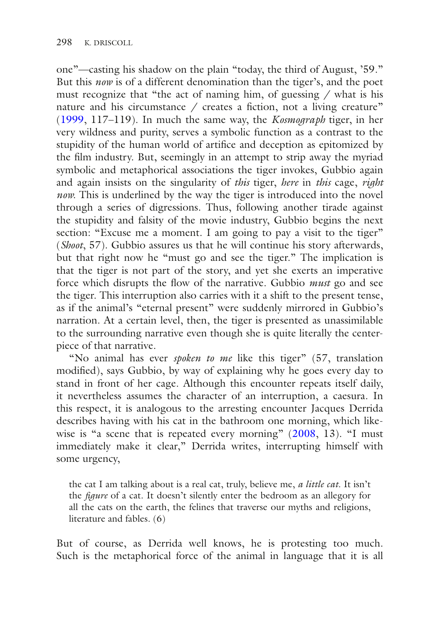one"—casting his shadow on the plain "today, the third of August, '59." But this *now* is of a different denomination than the tiger's, and the poet must recognize that "the act of naming him, of guessing / what is his nature and his circumstance / creates a fiction, not a living creature" ([1999](#page-21-0), 117–119). In much the same way, the *Kosmograph* tiger, in her very wildness and purity, serves a symbolic function as a contrast to the stupidity of the human world of artifce and deception as epitomized by the film industry. But, seemingly in an attempt to strip away the myriad symbolic and metaphorical associations the tiger invokes, Gubbio again and again insists on the singularity of *this* tiger, *here* in *this* cage, *right now.* This is underlined by the way the tiger is introduced into the novel through a series of digressions. Thus, following another tirade against the stupidity and falsity of the movie industry, Gubbio begins the next section: "Excuse me a moment. I am going to pay a visit to the tiger" (*Shoot*, 57). Gubbio assures us that he will continue his story afterwards, but that right now he "must go and see the tiger." The implication is that the tiger is not part of the story, and yet she exerts an imperative force which disrupts the fow of the narrative. Gubbio *must* go and see the tiger. This interruption also carries with it a shift to the present tense, as if the animal's "eternal present" were suddenly mirrored in Gubbio's narration. At a certain level, then, the tiger is presented as unassimilable to the surrounding narrative even though she is quite literally the centerpiece of that narrative.

"No animal has ever *spoken to me* like this tiger" (57, translation modifed), says Gubbio, by way of explaining why he goes every day to stand in front of her cage. Although this encounter repeats itself daily, it nevertheless assumes the character of an interruption, a caesura. In this respect, it is analogous to the arresting encounter Jacques Derrida describes having with his cat in the bathroom one morning, which like-wise is "a scene that is repeated every morning" ([2008](#page-21-9), 13). "I must immediately make it clear," Derrida writes, interrupting himself with some urgency,

the cat I am talking about is a real cat, truly, believe me, *a little cat*. It isn't the *fgure* of a cat. It doesn't silently enter the bedroom as an allegory for all the cats on the earth, the felines that traverse our myths and religions, literature and fables. (6)

But of course, as Derrida well knows, he is protesting too much. Such is the metaphorical force of the animal in language that it is all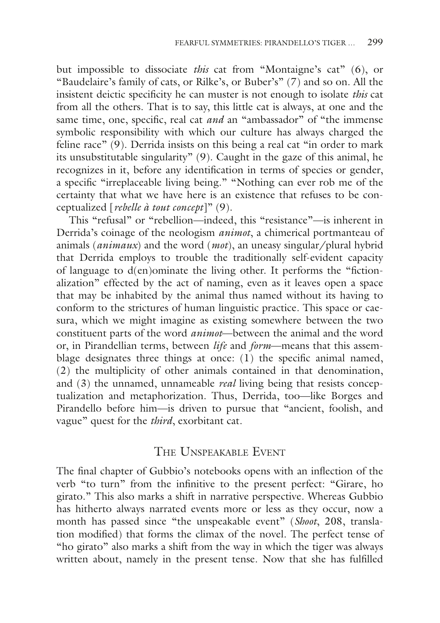but impossible to dissociate *this* cat from "Montaigne's cat" (6), or "Baudelaire's family of cats, or Rilke's, or Buber's" (7) and so on. All the insistent deictic specifcity he can muster is not enough to isolate *this* cat from all the others. That is to say, this little cat is always, at one and the same time, one, specifc, real cat *and* an "ambassador" of "the immense symbolic responsibility with which our culture has always charged the feline race" (9). Derrida insists on this being a real cat "in order to mark its unsubstitutable singularity" (9). Caught in the gaze of this animal, he recognizes in it, before any identifcation in terms of species or gender, a specifc "irreplaceable living being." "Nothing can ever rob me of the certainty that what we have here is an existence that refuses to be conceptualized [*rebelle à tout concept*]" (9).

This "refusal" or "rebellion—indeed, this "resistance"—is inherent in Derrida's coinage of the neologism *animot*, a chimerical portmanteau of animals (*animaux*) and the word (*mot*), an uneasy singular/plural hybrid that Derrida employs to trouble the traditionally self-evident capacity of language to d(en)ominate the living other. It performs the "fctionalization" effected by the act of naming, even as it leaves open a space that may be inhabited by the animal thus named without its having to conform to the strictures of human linguistic practice. This space or caesura, which we might imagine as existing somewhere between the two constituent parts of the word *animot*—between the animal and the word or, in Pirandellian terms, between *life* and *form*—means that this assemblage designates three things at once:  $(1)$  the specific animal named, (2) the multiplicity of other animals contained in that denomination, and (3) the unnamed, unnameable *real* living being that resists conceptualization and metaphorization. Thus, Derrida, too—like Borges and Pirandello before him—is driven to pursue that "ancient, foolish, and vague" quest for the *third*, exorbitant cat.

#### The Unspeakable Event

The fnal chapter of Gubbio's notebooks opens with an infection of the verb "to turn" from the infnitive to the present perfect: "Girare, ho girato." This also marks a shift in narrative perspective. Whereas Gubbio has hitherto always narrated events more or less as they occur, now a month has passed since "the unspeakable event" (*Shoot*, 208, translation modifed) that forms the climax of the novel. The perfect tense of "ho girato" also marks a shift from the way in which the tiger was always written about, namely in the present tense. Now that she has fulflled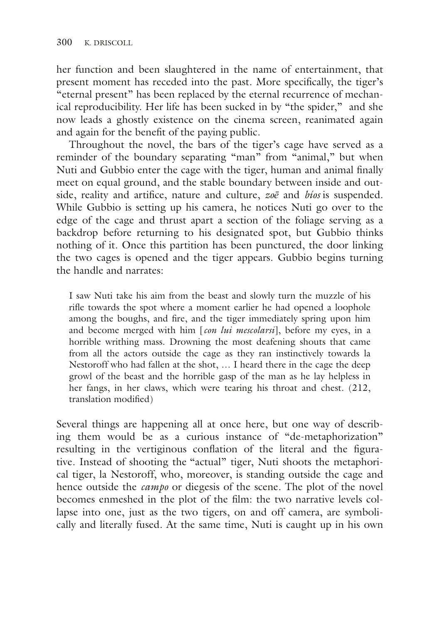her function and been slaughtered in the name of entertainment, that present moment has receded into the past. More specifcally, the tiger's "eternal present" has been replaced by the eternal recurrence of mechanical reproducibility. Her life has been sucked in by "the spider," and she now leads a ghostly existence on the cinema screen, reanimated again and again for the beneft of the paying public.

Throughout the novel, the bars of the tiger's cage have served as a reminder of the boundary separating "man" from "animal," but when Nuti and Gubbio enter the cage with the tiger, human and animal fnally meet on equal ground, and the stable boundary between inside and outside, reality and artifce, nature and culture, *zoē* and *bíos* is suspended. While Gubbio is setting up his camera, he notices Nuti go over to the edge of the cage and thrust apart a section of the foliage serving as a backdrop before returning to his designated spot, but Gubbio thinks nothing of it. Once this partition has been punctured, the door linking the two cages is opened and the tiger appears. Gubbio begins turning the handle and narrates:

I saw Nuti take his aim from the beast and slowly turn the muzzle of his rife towards the spot where a moment earlier he had opened a loophole among the boughs, and fre, and the tiger immediately spring upon him and become merged with him [*con lui mescolarsi*], before my eyes, in a horrible writhing mass. Drowning the most deafening shouts that came from all the actors outside the cage as they ran instinctively towards la Nestoroff who had fallen at the shot, … I heard there in the cage the deep growl of the beast and the horrible gasp of the man as he lay helpless in her fangs, in her claws, which were tearing his throat and chest. (212, translation modifed)

Several things are happening all at once here, but one way of describing them would be as a curious instance of "de-metaphorization" resulting in the vertiginous confation of the literal and the fgurative. Instead of shooting the "actual" tiger, Nuti shoots the metaphorical tiger, la Nestoroff, who, moreover, is standing outside the cage and hence outside the *campo* or diegesis of the scene. The plot of the novel becomes enmeshed in the plot of the flm: the two narrative levels collapse into one, just as the two tigers, on and off camera, are symbolically and literally fused. At the same time, Nuti is caught up in his own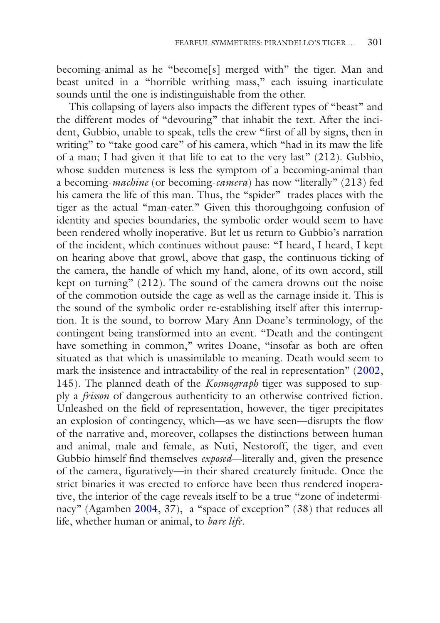becoming-animal as he "become[s] merged with" the tiger. Man and beast united in a "horrible writhing mass," each issuing inarticulate sounds until the one is indistinguishable from the other.

This collapsing of layers also impacts the different types of "beast" and the different modes of "devouring" that inhabit the text. After the incident, Gubbio, unable to speak, tells the crew "frst of all by signs, then in writing" to "take good care" of his camera, which "had in its maw the life of a man; I had given it that life to eat to the very last" (212). Gubbio, whose sudden muteness is less the symptom of a becoming-animal than a becoming-*machine* (or becoming-*camera*) has now "literally" (213) fed his camera the life of this man. Thus, the "spider" trades places with the tiger as the actual "man-eater." Given this thoroughgoing confusion of identity and species boundaries, the symbolic order would seem to have been rendered wholly inoperative. But let us return to Gubbio's narration of the incident, which continues without pause: "I heard, I heard, I kept on hearing above that growl, above that gasp, the continuous ticking of the camera, the handle of which my hand, alone, of its own accord, still kept on turning" (212). The sound of the camera drowns out the noise of the commotion outside the cage as well as the carnage inside it. This is the sound of the symbolic order re-establishing itself after this interruption. It is the sound, to borrow Mary Ann Doane's terminology, of the contingent being transformed into an event. "Death and the contingent have something in common," writes Doane, "insofar as both are often situated as that which is unassimilable to meaning. Death would seem to mark the insistence and intractability of the real in representation" ([2002,](#page-22-13) 145). The planned death of the *Kosmograph* tiger was supposed to supply a *frisson* of dangerous authenticity to an otherwise contrived fiction. Unleashed on the feld of representation, however, the tiger precipitates an explosion of contingency, which—as we have seen—disrupts the fow of the narrative and, moreover, collapses the distinctions between human and animal, male and female, as Nuti, Nestoroff, the tiger, and even Gubbio himself fnd themselves *exposed*—literally and, given the presence of the camera, fguratively—in their shared creaturely fnitude. Once the strict binaries it was erected to enforce have been thus rendered inoperative, the interior of the cage reveals itself to be a true "zone of indeterminacy" (Agamben [2004,](#page-21-3) 37), a "space of exception" (38) that reduces all life, whether human or animal, to *bare life*.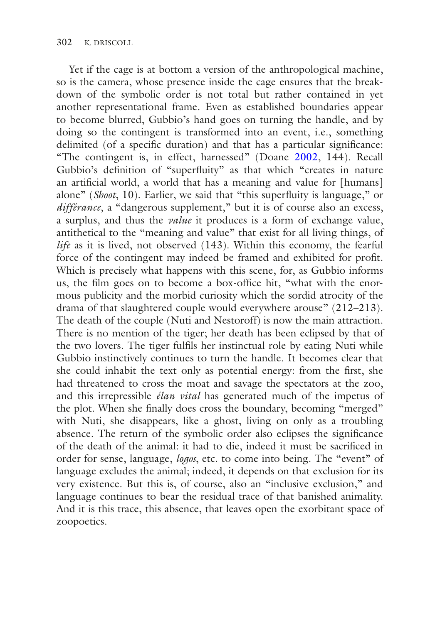Yet if the cage is at bottom a version of the anthropological machine, so is the camera, whose presence inside the cage ensures that the breakdown of the symbolic order is not total but rather contained in yet another representational frame. Even as established boundaries appear to become blurred, Gubbio's hand goes on turning the handle, and by doing so the contingent is transformed into an event, i.e., something delimited (of a specifc duration) and that has a particular signifcance: "The contingent is, in effect, harnessed" (Doane [2002](#page-22-13), 144). Recall Gubbio's defnition of "superfuity" as that which "creates in nature an artifcial world, a world that has a meaning and value for [humans] alone" (*Shoot*, 10). Earlier, we said that "this superfuity is language," or *différance*, a "dangerous supplement," but it is of course also an excess, a surplus, and thus the *value* it produces is a form of exchange value, antithetical to the "meaning and value" that exist for all living things, of *life* as it is lived, not observed (143). Within this economy, the fearful force of the contingent may indeed be framed and exhibited for proft. Which is precisely what happens with this scene, for, as Gubbio informs us, the flm goes on to become a box-offce hit, "what with the enormous publicity and the morbid curiosity which the sordid atrocity of the drama of that slaughtered couple would everywhere arouse" (212–213). The death of the couple (Nuti and Nestoroff) is now the main attraction. There is no mention of the tiger; her death has been eclipsed by that of the two lovers. The tiger fulfls her instinctual role by eating Nuti while Gubbio instinctively continues to turn the handle. It becomes clear that she could inhabit the text only as potential energy: from the frst, she had threatened to cross the moat and savage the spectators at the zoo, and this irrepressible *élan vital* has generated much of the impetus of the plot. When she fnally does cross the boundary, becoming "merged" with Nuti, she disappears, like a ghost, living on only as a troubling absence. The return of the symbolic order also eclipses the signifcance of the death of the animal: it had to die, indeed it must be sacrifced in order for sense, language, *logos*, etc. to come into being. The "event" of language excludes the animal; indeed, it depends on that exclusion for its very existence. But this is, of course, also an "inclusive exclusion," and language continues to bear the residual trace of that banished animality. And it is this trace, this absence, that leaves open the exorbitant space of zoopoetics.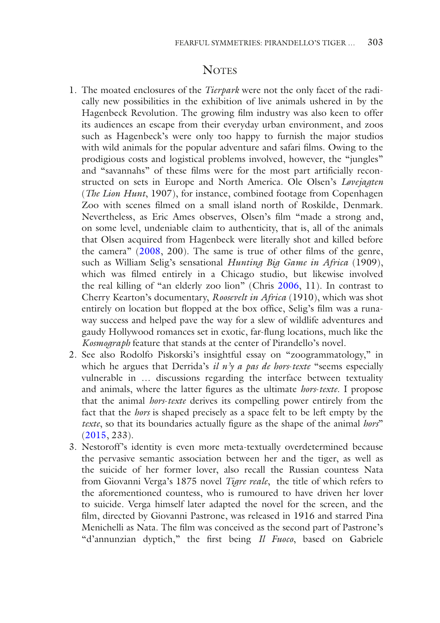### <span id="page-20-0"></span>**NOTES**

- 1. The moated enclosures of the *Tierpark* were not the only facet of the radically new possibilities in the exhibition of live animals ushered in by the Hagenbeck Revolution. The growing flm industry was also keen to offer its audiences an escape from their everyday urban environment, and zoos such as Hagenbeck's were only too happy to furnish the major studios with wild animals for the popular adventure and safari flms. Owing to the prodigious costs and logistical problems involved, however, the "jungles" and "savannahs" of these flms were for the most part artifcially reconstructed on sets in Europe and North America. Ole Olsen's *Løvejagten* (*The Lion Hunt*, 1907), for instance, combined footage from Copenhagen Zoo with scenes flmed on a small island north of Roskilde, Denmark. Nevertheless, as Eric Ames observes, Olsen's flm "made a strong and, on some level, undeniable claim to authenticity, that is, all of the animals that Olsen acquired from Hagenbeck were literally shot and killed before the camera" ([2008](#page-21-10), 200). The same is true of other flms of the genre, such as William Selig's sensational *Hunting Big Game in Africa* (1909), which was flmed entirely in a Chicago studio, but likewise involved the real killing of "an elderly zoo lion" (Chris [2006](#page-21-11), 11). In contrast to Cherry Kearton's documentary, *Roosevelt in Africa* (1910), which was shot entirely on location but flopped at the box office, Selig's film was a runaway success and helped pave the way for a slew of wildlife adventures and gaudy Hollywood romances set in exotic, far-fung locations, much like the *Kosmograph* feature that stands at the center of Pirandello's novel.
- 2. See also Rodolfo Piskorski's insightful essay on "zoogrammatology," in which he argues that Derrida's *il n'y a pas de hors*-*texte* "seems especially vulnerable in … discussions regarding the interface between textuality and animals, where the latter fgures as the ultimate *hors*-*texte*. I propose that the animal *hors*-*texte* derives its compelling power entirely from the fact that the *hors* is shaped precisely as a space felt to be left empty by the *texte*, so that its boundaries actually fgure as the shape of the animal *hors*" [\(2015](#page-22-14), 233).
- 3. Nestoroff's identity is even more meta-textually overdetermined because the pervasive semantic association between her and the tiger, as well as the suicide of her former lover, also recall the Russian countess Nata from Giovanni Verga's 1875 novel *Tigre reale*, the title of which refers to the aforementioned countess, who is rumoured to have driven her lover to suicide. Verga himself later adapted the novel for the screen, and the flm, directed by Giovanni Pastrone, was released in 1916 and starred Pina Menichelli as Nata. The flm was conceived as the second part of Pastrone's "d'annunzian dyptich," the frst being *Il Fuoco*, based on Gabriele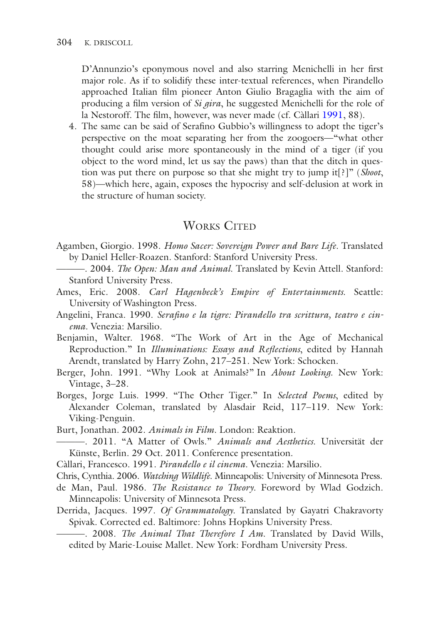D'Annunzio's eponymous novel and also starring Menichelli in her frst major role. As if to solidify these inter-textual references, when Pirandello approached Italian flm pioneer Anton Giulio Bragaglia with the aim of producing a flm version of *Si gira*, he suggested Menichelli for the role of la Nestoroff. The flm, however, was never made (cf. Càllari [1991](#page-21-12), 88).

4. The same can be said of Serafno Gubbio's willingness to adopt the tiger's perspective on the moat separating her from the zoogoers—"what other thought could arise more spontaneously in the mind of a tiger (if you object to the word mind, let us say the paws) than that the ditch in question was put there on purpose so that she might try to jump it[?]" (*Shoot*, 58)—which here, again, exposes the hypocrisy and self-delusion at work in the structure of human society.

## WORKS CITED

- <span id="page-21-2"></span>Agamben, Giorgio. 1998. *Homo Sacer: Sovereign Power and Bare Life*. Translated by Daniel Heller-Roazen. Stanford: Stanford University Press.
- <span id="page-21-3"></span>———. 2004. *The Open: Man and Animal*. Translated by Kevin Attell. Stanford: Stanford University Press.
- <span id="page-21-10"></span>Ames, Eric. 2008. *Carl Hagenbeck's Empire of Entertainments*. Seattle: University of Washington Press.
- <span id="page-21-8"></span>Angelini, Franca. 1990. *Serafno e la tigre: Pirandello tra scrittura, teatro e cinema*. Venezia: Marsilio.
- <span id="page-21-4"></span>Benjamin, Walter. 1968. "The Work of Art in the Age of Mechanical Reproduction." In *Illuminations: Essays and Refections*, edited by Hannah Arendt, translated by Harry Zohn, 217–251. New York: Schocken.
- <span id="page-21-1"></span>Berger, John. 1991. "Why Look at Animals?" In *About Looking*. New York: Vintage, 3–28.
- <span id="page-21-0"></span>Borges, Jorge Luis. 1999. "The Other Tiger." In *Selected Poems*, edited by Alexander Coleman, translated by Alasdair Reid, 117–119. New York: Viking-Penguin.

<span id="page-21-6"></span>Burt, Jonathan. 2002. *Animals in Film*. London: Reaktion.

<span id="page-21-5"></span>———. 2011. "A Matter of Owls." *Animals and Aesthetics*. Universität der Künste, Berlin. 29 Oct. 2011. Conference presentation.

- <span id="page-21-12"></span>Càllari, Francesco. 1991. *Pirandello e il cinema*. Venezia: Marsilio.
- <span id="page-21-11"></span>Chris, Cynthia. 2006. *Watching Wildlife*. Minneapolis: University of Minnesota Press.
- de Man, Paul. 1986. *The Resistance to Theory*. Foreword by Wlad Godzich. Minneapolis: University of Minnesota Press.
- <span id="page-21-7"></span>Derrida, Jacques. 1997. *Of Grammatology*. Translated by Gayatri Chakravorty Spivak. Corrected ed. Baltimore: Johns Hopkins University Press.

<span id="page-21-9"></span>———. 2008. *The Animal That Therefore I Am*. Translated by David Wills, edited by Marie-Louise Mallet. New York: Fordham University Press.